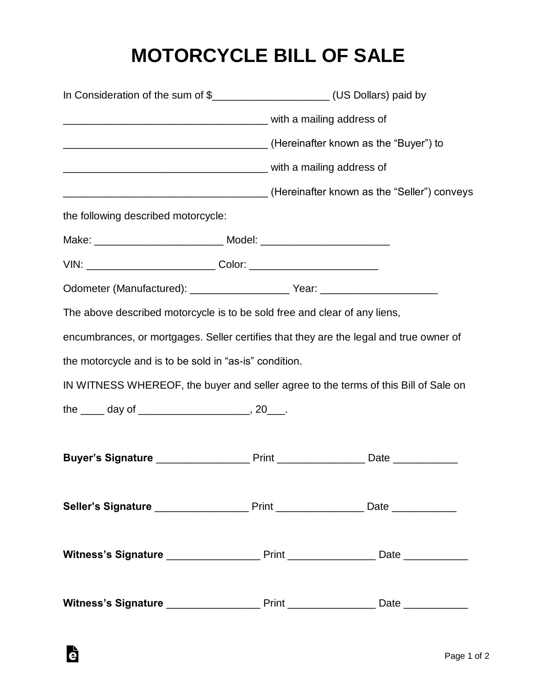## **MOTORCYCLE BILL OF SALE**

|                                                                                  | In Consideration of the sum of \$________________________(US Dollars) paid by                 |  |
|----------------------------------------------------------------------------------|-----------------------------------------------------------------------------------------------|--|
|                                                                                  |                                                                                               |  |
|                                                                                  | (Hereinafter known as the "Buyer") to (Hereinafter known as the "Buyer") to                   |  |
|                                                                                  |                                                                                               |  |
|                                                                                  | (Hereinafter known as the "Seller") conveys                                                   |  |
| the following described motorcycle:                                              |                                                                                               |  |
| Make: __________________________________ Model: ________________________________ |                                                                                               |  |
| VIN: __________________________________Color: __________________________________ |                                                                                               |  |
|                                                                                  |                                                                                               |  |
| The above described motorcycle is to be sold free and clear of any liens,        |                                                                                               |  |
|                                                                                  | encumbrances, or mortgages. Seller certifies that they are the legal and true owner of        |  |
| the motorcycle and is to be sold in "as-is" condition.                           |                                                                                               |  |
|                                                                                  | IN WITNESS WHEREOF, the buyer and seller agree to the terms of this Bill of Sale on           |  |
|                                                                                  |                                                                                               |  |
|                                                                                  |                                                                                               |  |
|                                                                                  |                                                                                               |  |
|                                                                                  |                                                                                               |  |
|                                                                                  | Seller's Signature ________________________ Print _____________________ Date ________________ |  |
|                                                                                  |                                                                                               |  |
|                                                                                  |                                                                                               |  |
|                                                                                  |                                                                                               |  |
|                                                                                  |                                                                                               |  |

G